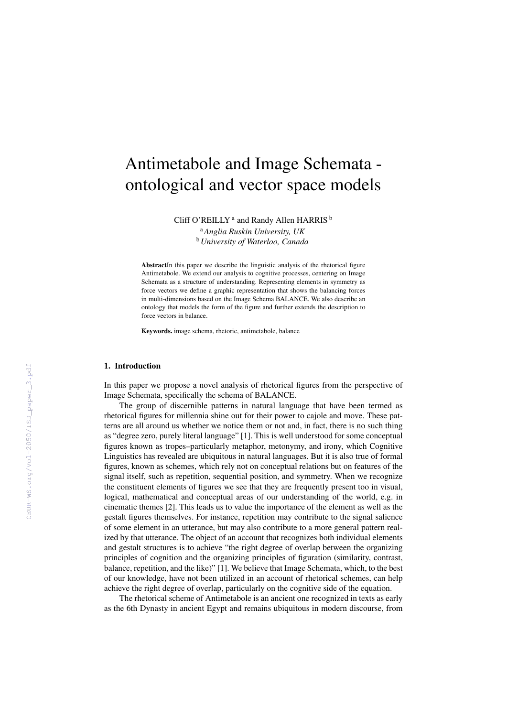# Antimetabole and Image Schemata ontological and vector space models

Cliff O'REILLY<sup>a</sup> and Randy Allen HARRIS<sup>b</sup>

<sup>a</sup>*Anglia Ruskin University, UK* <sup>b</sup>*University of Waterloo, Canada*

AbstractIn this paper we describe the linguistic analysis of the rhetorical figure Antimetabole. We extend our analysis to cognitive processes, centering on Image Schemata as a structure of understanding. Representing elements in symmetry as force vectors we define a graphic representation that shows the balancing forces in multi-dimensions based on the Image Schema BALANCE. We also describe an ontology that models the form of the figure and further extends the description to force vectors in balance.

Keywords. image schema, rhetoric, antimetabole, balance

#### 1. Introduction

In this paper we propose a novel analysis of rhetorical figures from the perspective of Image Schemata, specifically the schema of BALANCE.

The group of discernible patterns in natural language that have been termed as rhetorical figures for millennia shine out for their power to cajole and move. These patterns are all around us whether we notice them or not and, in fact, there is no such thing as "degree zero, purely literal language" [1]. This is well understood for some conceptual figures known as tropes–particularly metaphor, metonymy, and irony, which Cognitive Linguistics has revealed are ubiquitous in natural languages. But it is also true of formal figures, known as schemes, which rely not on conceptual relations but on features of the signal itself, such as repetition, sequential position, and symmetry. When we recognize the constituent elements of figures we see that they are frequently present too in visual, logical, mathematical and conceptual areas of our understanding of the world, e.g. in cinematic themes [2]. This leads us to value the importance of the element as well as the gestalt figures themselves. For instance, repetition may contribute to the signal salience of some element in an utterance, but may also contribute to a more general pattern realized by that utterance. The object of an account that recognizes both individual elements and gestalt structures is to achieve "the right degree of overlap between the organizing principles of cognition and the organizing principles of figuration (similarity, contrast, balance, repetition, and the like)" [1]. We believe that Image Schemata, which, to the best of our knowledge, have not been utilized in an account of rhetorical schemes, can help achieve the right degree of overlap, particularly on the cognitive side of the equation.

The rhetorical scheme of Antimetabole is an ancient one recognized in texts as early as the 6th Dynasty in ancient Egypt and remains ubiquitous in modern discourse, from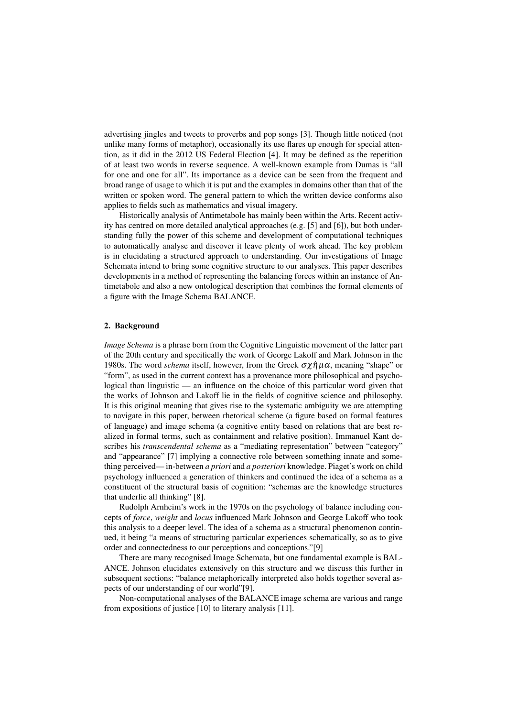advertising jingles and tweets to proverbs and pop songs [3]. Though little noticed (not unlike many forms of metaphor), occasionally its use flares up enough for special attention, as it did in the 2012 US Federal Election [4]. It may be defined as the repetition of at least two words in reverse sequence. A well-known example from Dumas is "all for one and one for all". Its importance as a device can be seen from the frequent and broad range of usage to which it is put and the examples in domains other than that of the written or spoken word. The general pattern to which the written device conforms also applies to fields such as mathematics and visual imagery.

Historically analysis of Antimetabole has mainly been within the Arts. Recent activity has centred on more detailed analytical approaches (e.g. [5] and [6]), but both understanding fully the power of this scheme and development of computational techniques to automatically analyse and discover it leave plenty of work ahead. The key problem is in elucidating a structured approach to understanding. Our investigations of Image Schemata intend to bring some cognitive structure to our analyses. This paper describes developments in a method of representing the balancing forces within an instance of Antimetabole and also a new ontological description that combines the formal elements of a figure with the Image Schema BALANCE.

#### 2. Background

*Image Schema* is a phrase born from the Cognitive Linguistic movement of the latter part of the 20th century and specifically the work of George Lakoff and Mark Johnson in the 1980s. The word *schema* itself, however, from the Greek  $\sigma \chi \hat{\eta} \mu \alpha$ , meaning "shape" or "form", as used in the current context has a provenance more philosophical and psychological than linguistic — an influence on the choice of this particular word given that the works of Johnson and Lakoff lie in the fields of cognitive science and philosophy. It is this original meaning that gives rise to the systematic ambiguity we are attempting to navigate in this paper, between rhetorical scheme (a figure based on formal features of language) and image schema (a cognitive entity based on relations that are best realized in formal terms, such as containment and relative position). Immanuel Kant describes his *transcendental schema* as a "mediating representation" between "category" and "appearance" [7] implying a connective role between something innate and something perceived— in-between *a priori* and *a posteriori* knowledge. Piaget's work on child psychology influenced a generation of thinkers and continued the idea of a schema as a constituent of the structural basis of cognition: "schemas are the knowledge structures that underlie all thinking" [8].

Rudolph Arnheim's work in the 1970s on the psychology of balance including concepts of *force*, *weight* and *locus* influenced Mark Johnson and George Lakoff who took this analysis to a deeper level. The idea of a schema as a structural phenomenon continued, it being "a means of structuring particular experiences schematically, so as to give order and connectedness to our perceptions and conceptions."[9]

There are many recognised Image Schemata, but one fundamental example is BAL-ANCE. Johnson elucidates extensively on this structure and we discuss this further in subsequent sections: "balance metaphorically interpreted also holds together several aspects of our understanding of our world"[9].

Non-computational analyses of the BALANCE image schema are various and range from expositions of justice [10] to literary analysis [11].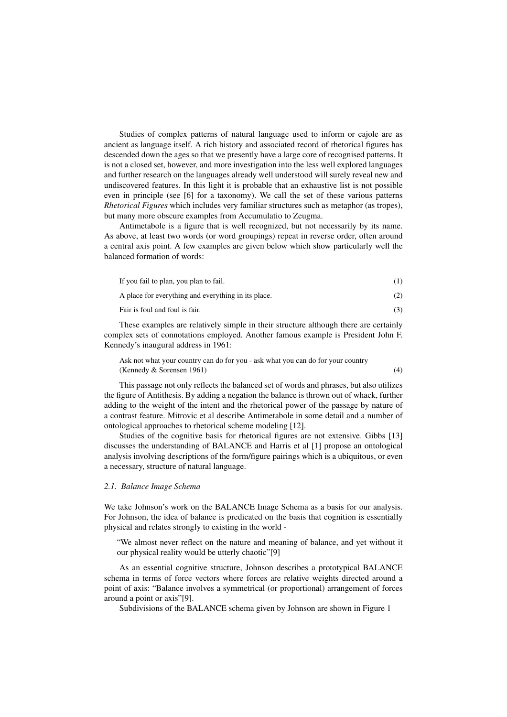Studies of complex patterns of natural language used to inform or cajole are as ancient as language itself. A rich history and associated record of rhetorical figures has descended down the ages so that we presently have a large core of recognised patterns. It is not a closed set, however, and more investigation into the less well explored languages and further research on the languages already well understood will surely reveal new and undiscovered features. In this light it is probable that an exhaustive list is not possible even in principle (see [6] for a taxonomy). We call the set of these various patterns *Rhetorical Figures* which includes very familiar structures such as metaphor (as tropes), but many more obscure examples from Accumulatio to Zeugma.

Antimetabole is a figure that is well recognized, but not necessarily by its name. As above, at least two words (or word groupings) repeat in reverse order, often around a central axis point. A few examples are given below which show particularly well the balanced formation of words:

| If you fail to plan, you plan to fail.              |     |
|-----------------------------------------------------|-----|
| A place for everything and everything in its place. | (2) |
| Fair is foul and foul is fair.                      |     |

These examples are relatively simple in their structure although there are certainly complex sets of connotations employed. Another famous example is President John F. Kennedy's inaugural address in 1961:

Ask not what your country can do for you - ask what you can do for your country (Kennedy  $&$  Sorensen 1961) (4)

This passage not only reflects the balanced set of words and phrases, but also utilizes the figure of Antithesis. By adding a negation the balance is thrown out of whack, further adding to the weight of the intent and the rhetorical power of the passage by nature of a contrast feature. Mitrovic et al describe Antimetabole in some detail and a number of ontological approaches to rhetorical scheme modeling [12].

Studies of the cognitive basis for rhetorical figures are not extensive. Gibbs [13] discusses the understanding of BALANCE and Harris et al [1] propose an ontological analysis involving descriptions of the form/figure pairings which is a ubiquitous, or even a necessary, structure of natural language.

#### *2.1. Balance Image Schema*

We take Johnson's work on the BALANCE Image Schema as a basis for our analysis. For Johnson, the idea of balance is predicated on the basis that cognition is essentially physical and relates strongly to existing in the world -

"We almost never reflect on the nature and meaning of balance, and yet without it our physical reality would be utterly chaotic"[9]

As an essential cognitive structure, Johnson describes a prototypical BALANCE schema in terms of force vectors where forces are relative weights directed around a point of axis: "Balance involves a symmetrical (or proportional) arrangement of forces around a point or axis"[9].

Subdivisions of the BALANCE schema given by Johnson are shown in Figure 1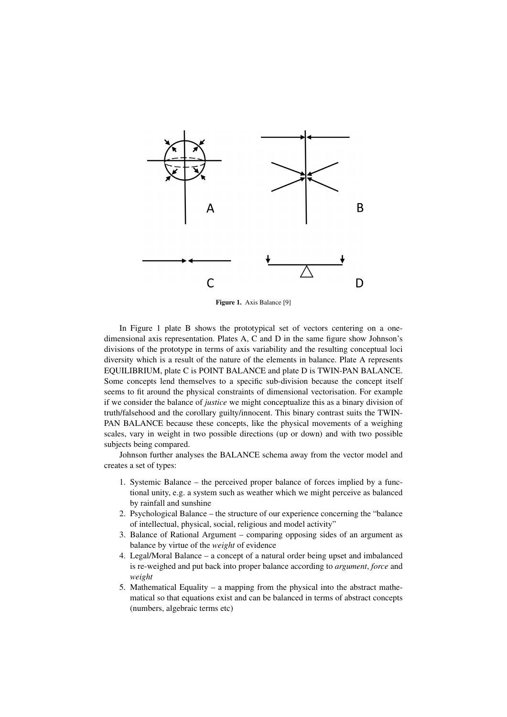

Figure 1. Axis Balance [9]

In Figure 1 plate B shows the prototypical set of vectors centering on a onedimensional axis representation. Plates A, C and D in the same figure show Johnson's divisions of the prototype in terms of axis variability and the resulting conceptual loci diversity which is a result of the nature of the elements in balance. Plate A represents EQUILIBRIUM, plate C is POINT BALANCE and plate D is TWIN-PAN BALANCE. Some concepts lend themselves to a specific sub-division because the concept itself seems to fit around the physical constraints of dimensional vectorisation. For example if we consider the balance of *justice* we might conceptualize this as a binary division of truth/falsehood and the corollary guilty/innocent. This binary contrast suits the TWIN-PAN BALANCE because these concepts, like the physical movements of a weighing scales, vary in weight in two possible directions (up or down) and with two possible subjects being compared.

Johnson further analyses the BALANCE schema away from the vector model and creates a set of types:

- 1. Systemic Balance the perceived proper balance of forces implied by a functional unity, e.g. a system such as weather which we might perceive as balanced by rainfall and sunshine
- 2. Psychological Balance the structure of our experience concerning the "balance of intellectual, physical, social, religious and model activity"
- 3. Balance of Rational Argument comparing opposing sides of an argument as balance by virtue of the *weight* of evidence
- 4. Legal/Moral Balance a concept of a natural order being upset and imbalanced is re-weighed and put back into proper balance according to *argument*, *force* and *weight*
- 5. Mathematical Equality a mapping from the physical into the abstract mathematical so that equations exist and can be balanced in terms of abstract concepts (numbers, algebraic terms etc)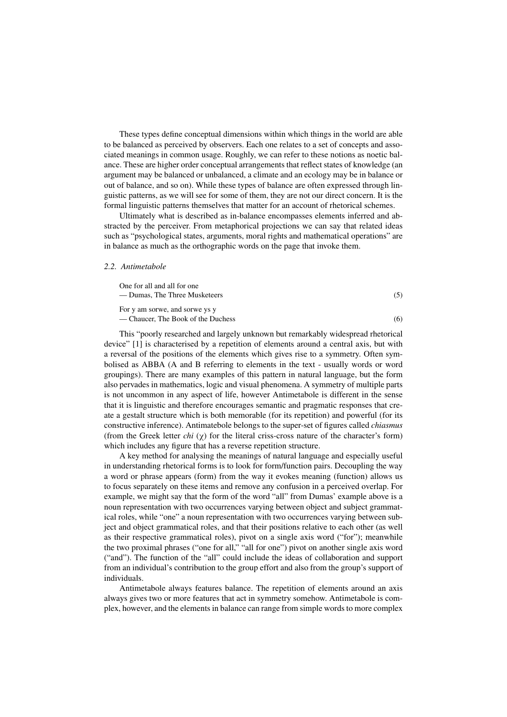These types define conceptual dimensions within which things in the world are able to be balanced as perceived by observers. Each one relates to a set of concepts and associated meanings in common usage. Roughly, we can refer to these notions as noetic balance. These are higher order conceptual arrangements that reflect states of knowledge (an argument may be balanced or unbalanced, a climate and an ecology may be in balance or out of balance, and so on). While these types of balance are often expressed through linguistic patterns, as we will see for some of them, they are not our direct concern. It is the formal linguistic patterns themselves that matter for an account of rhetorical schemes.

Ultimately what is described as in-balance encompasses elements inferred and abstracted by the perceiver. From metaphorical projections we can say that related ideas such as "psychological states, arguments, moral rights and mathematical operations" are in balance as much as the orthographic words on the page that invoke them.

#### *2.2. Antimetabole*

| One for all and all for one<br>— Dumas, The Three Musketeers         | (5) |
|----------------------------------------------------------------------|-----|
| For y am sorwe, and sorwe ys y<br>— Chaucer, The Book of the Duchess | (6) |

This "poorly researched and largely unknown but remarkably widespread rhetorical device" [1] is characterised by a repetition of elements around a central axis, but with a reversal of the positions of the elements which gives rise to a symmetry. Often symbolised as ABBA (A and B referring to elements in the text - usually words or word groupings). There are many examples of this pattern in natural language, but the form also pervades in mathematics, logic and visual phenomena. A symmetry of multiple parts is not uncommon in any aspect of life, however Antimetabole is different in the sense that it is linguistic and therefore encourages semantic and pragmatic responses that create a gestalt structure which is both memorable (for its repetition) and powerful (for its constructive inference). Antimatebole belongs to the super-set of figures called *chiasmus* (from the Greek letter *chi*  $(\chi)$  for the literal criss-cross nature of the character's form) which includes any figure that has a reverse repetition structure.

A key method for analysing the meanings of natural language and especially useful in understanding rhetorical forms is to look for form/function pairs. Decoupling the way a word or phrase appears (form) from the way it evokes meaning (function) allows us to focus separately on these items and remove any confusion in a perceived overlap. For example, we might say that the form of the word "all" from Dumas' example above is a noun representation with two occurrences varying between object and subject grammatical roles, while "one" a noun representation with two occurrences varying between subject and object grammatical roles, and that their positions relative to each other (as well as their respective grammatical roles), pivot on a single axis word ("for"); meanwhile the two proximal phrases ("one for all," "all for one") pivot on another single axis word ("and"). The function of the "all" could include the ideas of collaboration and support from an individual's contribution to the group effort and also from the group's support of individuals.

Antimetabole always features balance. The repetition of elements around an axis always gives two or more features that act in symmetry somehow. Antimetabole is complex, however, and the elements in balance can range from simple words to more complex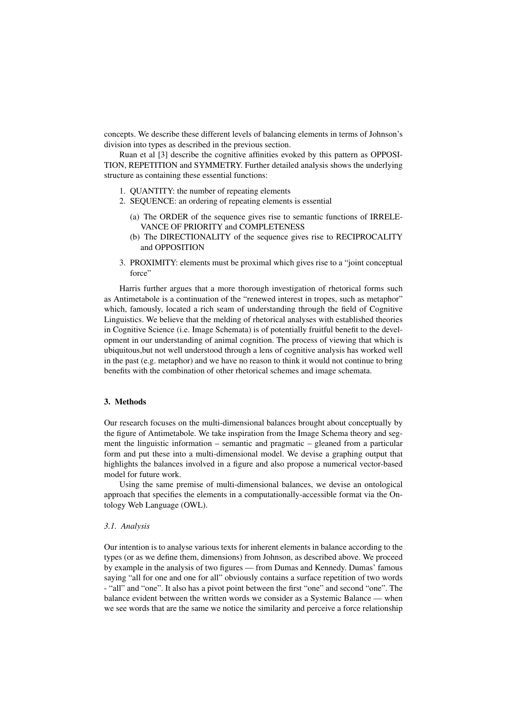concepts. We describe these different levels of balancing elements in terms of Johnson's division into types as described in the previous section.

Ruan et al [3] describe the cognitive affinities evoked by this pattern as OPPOSI-TION, REPETITION and SYMMETRY. Further detailed analysis shows the underlying structure as containing these essential functions:

- 1. QUANTITY: the number of repeating elements
- 2. SEQUENCE: an ordering of repeating elements is essential
	- (a) The ORDER of the sequence gives rise to semantic functions of IRRELE-VANCE OF PRIORITY and COMPLETENESS
	- (b) The DIRECTIONALITY of the sequence gives rise to RECIPROCALITY and OPPOSITION
- 3. PROXIMITY: elements must be proximal which gives rise to a "joint conceptual force"

Harris further argues that a more thorough investigation of rhetorical forms such as Antimetabole is a continuation of the "renewed interest in tropes, such as metaphor" which, famously, located a rich seam of understanding through the field of Cognitive Linguistics. We believe that the melding of rhetorical analyses with established theories in Cognitive Science (i.e. Image Schemata) is of potentially fruitful benefit to the development in our understanding of animal cognition. The process of viewing that which is ubiquitous,but not well understood through a lens of cognitive analysis has worked well in the past (e.g. metaphor) and we have no reason to think it would not continue to bring benefits with the combination of other rhetorical schemes and image schemata.

# 3. Methods

Our research focuses on the multi-dimensional balances brought about conceptually by the figure of Antimetabole. We take inspiration from the Image Schema theory and segment the linguistic information – semantic and pragmatic – gleaned from a particular form and put these into a multi-dimensional model. We devise a graphing output that highlights the balances involved in a figure and also propose a numerical vector-based model for future work.

Using the same premise of multi-dimensional balances, we devise an ontological approach that specifies the elements in a computationally-accessible format via the Ontology Web Language (OWL).

# *3.1. Analysis*

Our intention is to analyse various texts for inherent elements in balance according to the types (or as we define them, dimensions) from Johnson, as described above. We proceed by example in the analysis of two figures — from Dumas and Kennedy. Dumas' famous saying "all for one and one for all" obviously contains a surface repetition of two words - "all" and "one". It also has a pivot point between the first "one" and second "one". The balance evident between the written words we consider as a Systemic Balance — when we see words that are the same we notice the similarity and perceive a force relationship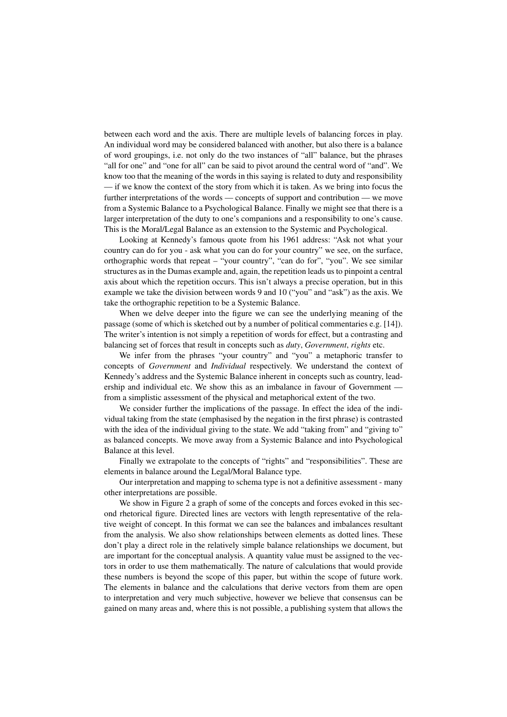between each word and the axis. There are multiple levels of balancing forces in play. An individual word may be considered balanced with another, but also there is a balance of word groupings, i.e. not only do the two instances of "all" balance, but the phrases "all for one" and "one for all" can be said to pivot around the central word of "and". We know too that the meaning of the words in this saying is related to duty and responsibility — if we know the context of the story from which it is taken. As we bring into focus the further interpretations of the words — concepts of support and contribution — we move from a Systemic Balance to a Psychological Balance. Finally we might see that there is a larger interpretation of the duty to one's companions and a responsibility to one's cause. This is the Moral/Legal Balance as an extension to the Systemic and Psychological.

Looking at Kennedy's famous quote from his 1961 address: "Ask not what your country can do for you - ask what you can do for your country" we see, on the surface, orthographic words that repeat – "your country", "can do for", "you". We see similar structures as in the Dumas example and, again, the repetition leads us to pinpoint a central axis about which the repetition occurs. This isn't always a precise operation, but in this example we take the division between words 9 and 10 ("you" and "ask") as the axis. We take the orthographic repetition to be a Systemic Balance.

When we delve deeper into the figure we can see the underlying meaning of the passage (some of which is sketched out by a number of political commentaries e.g. [14]). The writer's intention is not simply a repetition of words for effect, but a contrasting and balancing set of forces that result in concepts such as *duty*, *Government*, *rights* etc.

We infer from the phrases "your country" and "you" a metaphoric transfer to concepts of *Government* and *Individual* respectively. We understand the context of Kennedy's address and the Systemic Balance inherent in concepts such as country, leadership and individual etc. We show this as an imbalance in favour of Government from a simplistic assessment of the physical and metaphorical extent of the two.

We consider further the implications of the passage. In effect the idea of the individual taking from the state (emphasised by the negation in the first phrase) is contrasted with the idea of the individual giving to the state. We add "taking from" and "giving to" as balanced concepts. We move away from a Systemic Balance and into Psychological Balance at this level.

Finally we extrapolate to the concepts of "rights" and "responsibilities". These are elements in balance around the Legal/Moral Balance type.

Our interpretation and mapping to schema type is not a definitive assessment - many other interpretations are possible.

We show in Figure 2 a graph of some of the concepts and forces evoked in this second rhetorical figure. Directed lines are vectors with length representative of the relative weight of concept. In this format we can see the balances and imbalances resultant from the analysis. We also show relationships between elements as dotted lines. These don't play a direct role in the relatively simple balance relationships we document, but are important for the conceptual analysis. A quantity value must be assigned to the vectors in order to use them mathematically. The nature of calculations that would provide these numbers is beyond the scope of this paper, but within the scope of future work. The elements in balance and the calculations that derive vectors from them are open to interpretation and very much subjective, however we believe that consensus can be gained on many areas and, where this is not possible, a publishing system that allows the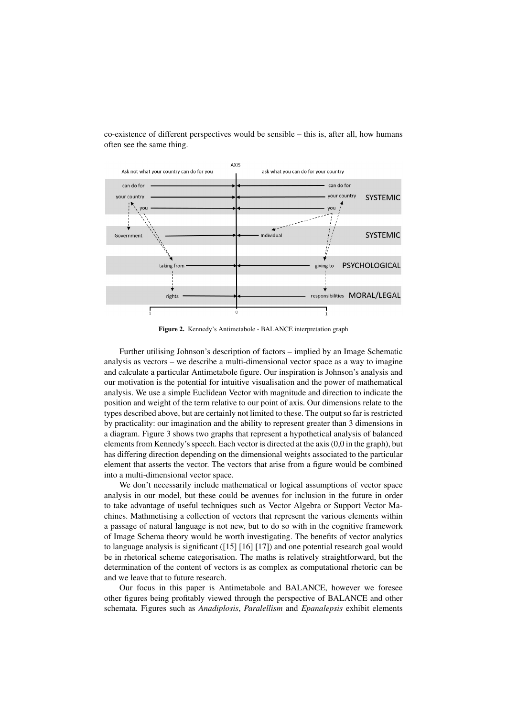co-existence of different perspectives would be sensible – this is, after all, how humans often see the same thing.



Figure 2. Kennedy's Antimetabole - BALANCE interpretation graph

Further utilising Johnson's description of factors – implied by an Image Schematic analysis as vectors – we describe a multi-dimensional vector space as a way to imagine and calculate a particular Antimetabole figure. Our inspiration is Johnson's analysis and our motivation is the potential for intuitive visualisation and the power of mathematical analysis. We use a simple Euclidean Vector with magnitude and direction to indicate the position and weight of the term relative to our point of axis. Our dimensions relate to the types described above, but are certainly not limited to these. The output so far is restricted by practicality: our imagination and the ability to represent greater than 3 dimensions in a diagram. Figure 3 shows two graphs that represent a hypothetical analysis of balanced elements from Kennedy's speech. Each vector is directed at the axis (0,0 in the graph), but has differing direction depending on the dimensional weights associated to the particular element that asserts the vector. The vectors that arise from a figure would be combined into a multi-dimensional vector space.

We don't necessarily include mathematical or logical assumptions of vector space analysis in our model, but these could be avenues for inclusion in the future in order to take advantage of useful techniques such as Vector Algebra or Support Vector Machines. Mathmetising a collection of vectors that represent the various elements within a passage of natural language is not new, but to do so with in the cognitive framework of Image Schema theory would be worth investigating. The benefits of vector analytics to language analysis is significant ([15] [16] [17]) and one potential research goal would be in rhetorical scheme categorisation. The maths is relatively straightforward, but the determination of the content of vectors is as complex as computational rhetoric can be and we leave that to future research.

Our focus in this paper is Antimetabole and BALANCE, however we foresee other figures being profitably viewed through the perspective of BALANCE and other schemata. Figures such as *Anadiplosis*, *Paralellism* and *Epanalepsis* exhibit elements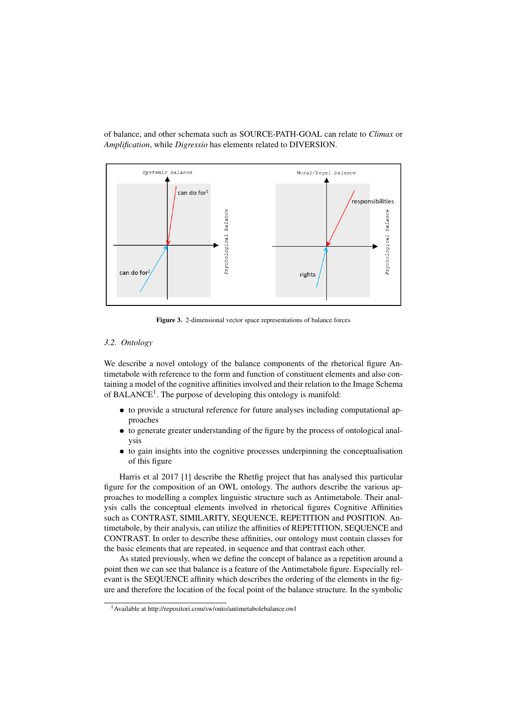of balance, and other schemata such as SOURCE-PATH-GOAL can relate to *Climax* or *Amplification*, while *Digressio* has elements related to DIVERSION.



Figure 3. 2-dimensional vector space representations of balance forces

# *3.2. Ontology*

We describe a novel ontology of the balance components of the rhetorical figure Antimetabole with reference to the form and function of constituent elements and also containing a model of the cognitive affinities involved and their relation to the Image Schema of BALANCE<sup>1</sup>. The purpose of developing this ontology is manifold:

- to provide a structural reference for future analyses including computational approaches
- to generate greater understanding of the figure by the process of ontological analysis
- to gain insights into the cognitive processes underpinning the conceptualisation of this figure

Harris et al 2017 [1] describe the Rhetfig project that has analysed this particular figure for the composition of an OWL ontology. The authors describe the various approaches to modelling a complex linguistic structure such as Antimetabole. Their analysis calls the conceptual elements involved in rhetorical figures Cognitive Affinities such as CONTRAST, SIMILARITY, SEQUENCE, REPETITION and POSITION. Antimetabole, by their analysis, can utilize the affinities of REPETITION, SEQUENCE and CONTRAST. In order to describe these affinities, our ontology must contain classes for the basic elements that are repeated, in sequence and that contrast each other.

As stated previously, when we define the concept of balance as a repetition around a point then we can see that balance is a feature of the Antimetabole figure. Especially relevant is the SEQUENCE affinity which describes the ordering of the elements in the figure and therefore the location of the focal point of the balance structure. In the symbolic

<sup>1</sup>Available at http://repositori.com/sw/onto/antimetabolebalance.owl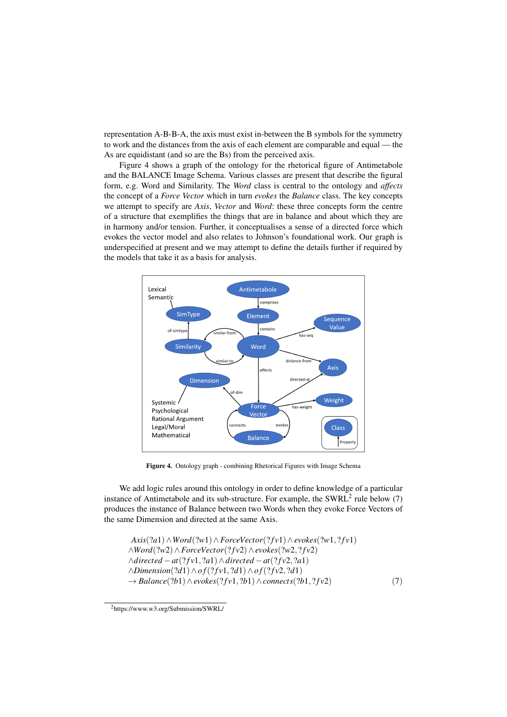representation A-B-B-A, the axis must exist in-between the B symbols for the symmetry to work and the distances from the axis of each element are comparable and equal — the As are equidistant (and so are the Bs) from the perceived axis.

Figure 4 shows a graph of the ontology for the rhetorical figure of Antimetabole and the BALANCE Image Schema. Various classes are present that describe the figural form, e.g. Word and Similarity. The *Word* class is central to the ontology and *affects* the concept of a *Force Vector* which in turn *evokes* the *Balance* class. The key concepts we attempt to specify are *Axis*, *Vector* and *Word*: these three concepts form the centre of a structure that exemplifies the things that are in balance and about which they are in harmony and/or tension. Further, it conceptualises a sense of a directed force which evokes the vector model and also relates to Johnson's foundational work. Our graph is underspecified at present and we may attempt to define the details further if required by the models that take it as a basis for analysis.



Figure 4. Ontology graph - combining Rhetorical Figures with Image Schema

We add logic rules around this ontology in order to define knowledge of a particular instance of Antimetabole and its sub-structure. For example, the SWRL<sup>2</sup> rule below  $(7)$ produces the instance of Balance between two Words when they evoke Force Vectors of the same Dimension and directed at the same Axis.

```
Axis(?a1)∧Word(?w1)∧ForceVector(? f v1)∧evokes(?w1, ? f v1)
∧Word(?w2)∧ForceVector(? f v2)∧evokes(?w2, ? f v2)
∧directed −at(? f v1, ?a1)∧directed −at(? f v2, ?a1)
∧Dimension(?d1)∧o f(? f v1, ?d1)∧o f(? f v2, ?d1)
→ Balance(?b1)∧evokes(? f v1, ?b1)∧connects(?b1, ? f v2) (7)
```
<sup>2</sup>https://www.w3.org/Submission/SWRL/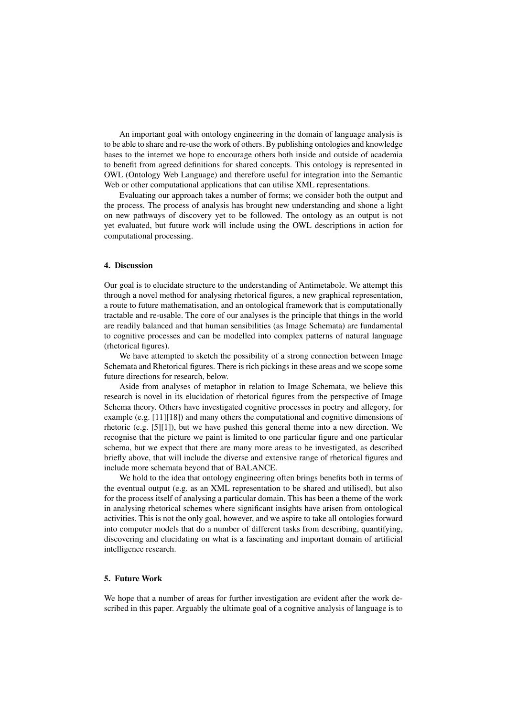An important goal with ontology engineering in the domain of language analysis is to be able to share and re-use the work of others. By publishing ontologies and knowledge bases to the internet we hope to encourage others both inside and outside of academia to benefit from agreed definitions for shared concepts. This ontology is represented in OWL (Ontology Web Language) and therefore useful for integration into the Semantic Web or other computational applications that can utilise XML representations.

Evaluating our approach takes a number of forms; we consider both the output and the process. The process of analysis has brought new understanding and shone a light on new pathways of discovery yet to be followed. The ontology as an output is not yet evaluated, but future work will include using the OWL descriptions in action for computational processing.

# 4. Discussion

Our goal is to elucidate structure to the understanding of Antimetabole. We attempt this through a novel method for analysing rhetorical figures, a new graphical representation, a route to future mathematisation, and an ontological framework that is computationally tractable and re-usable. The core of our analyses is the principle that things in the world are readily balanced and that human sensibilities (as Image Schemata) are fundamental to cognitive processes and can be modelled into complex patterns of natural language (rhetorical figures).

We have attempted to sketch the possibility of a strong connection between Image Schemata and Rhetorical figures. There is rich pickings in these areas and we scope some future directions for research, below.

Aside from analyses of metaphor in relation to Image Schemata, we believe this research is novel in its elucidation of rhetorical figures from the perspective of Image Schema theory. Others have investigated cognitive processes in poetry and allegory, for example (e.g. [11][18]) and many others the computational and cognitive dimensions of rhetoric (e.g. [5][1]), but we have pushed this general theme into a new direction. We recognise that the picture we paint is limited to one particular figure and one particular schema, but we expect that there are many more areas to be investigated, as described briefly above, that will include the diverse and extensive range of rhetorical figures and include more schemata beyond that of BALANCE.

We hold to the idea that ontology engineering often brings benefits both in terms of the eventual output (e.g. as an XML representation to be shared and utilised), but also for the process itself of analysing a particular domain. This has been a theme of the work in analysing rhetorical schemes where significant insights have arisen from ontological activities. This is not the only goal, however, and we aspire to take all ontologies forward into computer models that do a number of different tasks from describing, quantifying, discovering and elucidating on what is a fascinating and important domain of artificial intelligence research.

## 5. Future Work

We hope that a number of areas for further investigation are evident after the work described in this paper. Arguably the ultimate goal of a cognitive analysis of language is to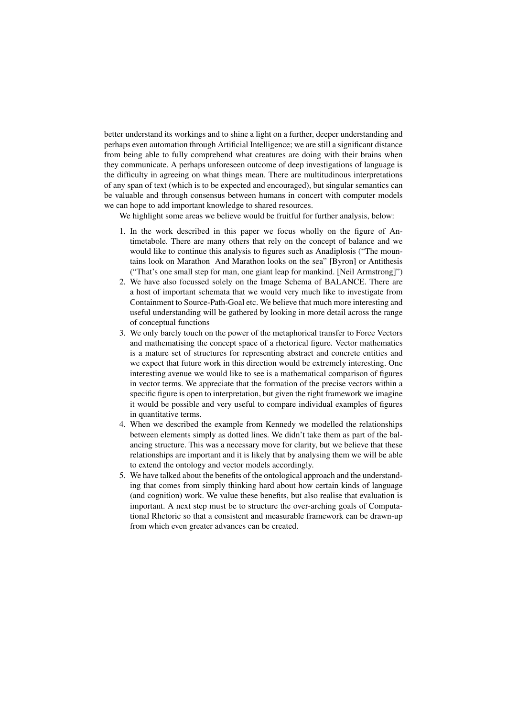better understand its workings and to shine a light on a further, deeper understanding and perhaps even automation through Artificial Intelligence; we are still a significant distance from being able to fully comprehend what creatures are doing with their brains when they communicate. A perhaps unforeseen outcome of deep investigations of language is the difficulty in agreeing on what things mean. There are multitudinous interpretations of any span of text (which is to be expected and encouraged), but singular semantics can be valuable and through consensus between humans in concert with computer models we can hope to add important knowledge to shared resources.

We highlight some areas we believe would be fruitful for further analysis, below:

- 1. In the work described in this paper we focus wholly on the figure of Antimetabole. There are many others that rely on the concept of balance and we would like to continue this analysis to figures such as Anadiplosis ("The mountains look on Marathon And Marathon looks on the sea" [Byron] or Antithesis ("That's one small step for man, one giant leap for mankind. [Neil Armstrong]")
- 2. We have also focussed solely on the Image Schema of BALANCE. There are a host of important schemata that we would very much like to investigate from Containment to Source-Path-Goal etc. We believe that much more interesting and useful understanding will be gathered by looking in more detail across the range of conceptual functions
- 3. We only barely touch on the power of the metaphorical transfer to Force Vectors and mathematising the concept space of a rhetorical figure. Vector mathematics is a mature set of structures for representing abstract and concrete entities and we expect that future work in this direction would be extremely interesting. One interesting avenue we would like to see is a mathematical comparison of figures in vector terms. We appreciate that the formation of the precise vectors within a specific figure is open to interpretation, but given the right framework we imagine it would be possible and very useful to compare individual examples of figures in quantitative terms.
- 4. When we described the example from Kennedy we modelled the relationships between elements simply as dotted lines. We didn't take them as part of the balancing structure. This was a necessary move for clarity, but we believe that these relationships are important and it is likely that by analysing them we will be able to extend the ontology and vector models accordingly.
- 5. We have talked about the benefits of the ontological approach and the understanding that comes from simply thinking hard about how certain kinds of language (and cognition) work. We value these benefits, but also realise that evaluation is important. A next step must be to structure the over-arching goals of Computational Rhetoric so that a consistent and measurable framework can be drawn-up from which even greater advances can be created.